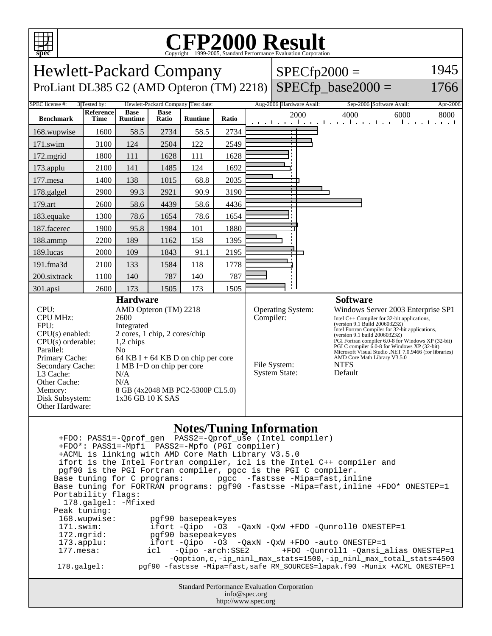

## C<sub>opyright</sub> ©1999-2005, Standard Performance Evaluation Corporation

| <b>Hewlett-Packard Company</b>                                                                                                                                                                                                                                                                                                                                                                                                                                                                                                                                                                                                                                                                                                                                                                                                                                                                                                                                                                                                                           |                          |                               |                      |                                    |                                                                                                                                                                                                                                                                                                                                                                                                                                                                                                             |  |                          |      | $SPECfp2000 =$ |                                                            | 1945     |
|----------------------------------------------------------------------------------------------------------------------------------------------------------------------------------------------------------------------------------------------------------------------------------------------------------------------------------------------------------------------------------------------------------------------------------------------------------------------------------------------------------------------------------------------------------------------------------------------------------------------------------------------------------------------------------------------------------------------------------------------------------------------------------------------------------------------------------------------------------------------------------------------------------------------------------------------------------------------------------------------------------------------------------------------------------|--------------------------|-------------------------------|----------------------|------------------------------------|-------------------------------------------------------------------------------------------------------------------------------------------------------------------------------------------------------------------------------------------------------------------------------------------------------------------------------------------------------------------------------------------------------------------------------------------------------------------------------------------------------------|--|--------------------------|------|----------------|------------------------------------------------------------|----------|
| $SPECfp\_base2000 =$<br>ProLiant DL385 G2 (AMD Opteron (TM) 2218)<br>1766                                                                                                                                                                                                                                                                                                                                                                                                                                                                                                                                                                                                                                                                                                                                                                                                                                                                                                                                                                                |                          |                               |                      |                                    |                                                                                                                                                                                                                                                                                                                                                                                                                                                                                                             |  |                          |      |                |                                                            |          |
| SPEC license #:                                                                                                                                                                                                                                                                                                                                                                                                                                                                                                                                                                                                                                                                                                                                                                                                                                                                                                                                                                                                                                          | 3 Tested by:             |                               |                      | Hewlett-Packard Company Test date: |                                                                                                                                                                                                                                                                                                                                                                                                                                                                                                             |  | Aug-2006 Hardware Avail: |      |                | Sep-2006 Software Avail:                                   | Apr-2006 |
| <b>Benchmark</b>                                                                                                                                                                                                                                                                                                                                                                                                                                                                                                                                                                                                                                                                                                                                                                                                                                                                                                                                                                                                                                         | Reference<br><b>Time</b> | <b>Base</b><br><b>Runtime</b> | <b>Base</b><br>Ratio | <b>Runtime</b>                     | Ratio                                                                                                                                                                                                                                                                                                                                                                                                                                                                                                       |  |                          | 2000 | 4000           | 6000<br>and the continued are all and the collaboration of | 8000     |
| 168.wupwise                                                                                                                                                                                                                                                                                                                                                                                                                                                                                                                                                                                                                                                                                                                                                                                                                                                                                                                                                                                                                                              | 1600                     | 58.5                          | 2734                 | 58.5                               | 2734                                                                                                                                                                                                                                                                                                                                                                                                                                                                                                        |  |                          |      |                |                                                            |          |
| 171.swim                                                                                                                                                                                                                                                                                                                                                                                                                                                                                                                                                                                                                                                                                                                                                                                                                                                                                                                                                                                                                                                 | 3100                     | 124                           | 2504                 | 122                                | 2549                                                                                                                                                                                                                                                                                                                                                                                                                                                                                                        |  |                          |      |                |                                                            |          |
| 172.mgrid                                                                                                                                                                                                                                                                                                                                                                                                                                                                                                                                                                                                                                                                                                                                                                                                                                                                                                                                                                                                                                                | 1800                     | 111                           | 1628                 | 111                                | 1628                                                                                                                                                                                                                                                                                                                                                                                                                                                                                                        |  |                          |      |                |                                                            |          |
| 173.applu                                                                                                                                                                                                                                                                                                                                                                                                                                                                                                                                                                                                                                                                                                                                                                                                                                                                                                                                                                                                                                                | 2100                     | 141                           | 1485                 | 124                                | 1692                                                                                                                                                                                                                                                                                                                                                                                                                                                                                                        |  |                          |      |                |                                                            |          |
| 177.mesa                                                                                                                                                                                                                                                                                                                                                                                                                                                                                                                                                                                                                                                                                                                                                                                                                                                                                                                                                                                                                                                 | 1400                     | 138                           | 1015                 | 68.8                               | 2035                                                                                                                                                                                                                                                                                                                                                                                                                                                                                                        |  |                          |      |                |                                                            |          |
| 178.galgel                                                                                                                                                                                                                                                                                                                                                                                                                                                                                                                                                                                                                                                                                                                                                                                                                                                                                                                                                                                                                                               | 2900                     | 99.3                          | 2921                 | 90.9                               | 3190                                                                                                                                                                                                                                                                                                                                                                                                                                                                                                        |  |                          |      |                |                                                            |          |
| 179.art                                                                                                                                                                                                                                                                                                                                                                                                                                                                                                                                                                                                                                                                                                                                                                                                                                                                                                                                                                                                                                                  | 2600                     | 58.6                          | 4439                 | 58.6                               | 4436                                                                                                                                                                                                                                                                                                                                                                                                                                                                                                        |  |                          |      |                |                                                            |          |
| 183.equake                                                                                                                                                                                                                                                                                                                                                                                                                                                                                                                                                                                                                                                                                                                                                                                                                                                                                                                                                                                                                                               | 1300                     | 78.6                          | 1654                 | 78.6                               | 1654                                                                                                                                                                                                                                                                                                                                                                                                                                                                                                        |  |                          |      |                |                                                            |          |
| 187.facerec                                                                                                                                                                                                                                                                                                                                                                                                                                                                                                                                                                                                                                                                                                                                                                                                                                                                                                                                                                                                                                              | 1900                     | 95.8                          | 1984                 | 101                                | 1880                                                                                                                                                                                                                                                                                                                                                                                                                                                                                                        |  |                          |      |                |                                                            |          |
| 188.ammp                                                                                                                                                                                                                                                                                                                                                                                                                                                                                                                                                                                                                                                                                                                                                                                                                                                                                                                                                                                                                                                 | 2200                     | 189                           | 1162                 | 158                                | 1395                                                                                                                                                                                                                                                                                                                                                                                                                                                                                                        |  |                          |      |                |                                                            |          |
| 189.lucas                                                                                                                                                                                                                                                                                                                                                                                                                                                                                                                                                                                                                                                                                                                                                                                                                                                                                                                                                                                                                                                | 2000                     | 109                           | 1843                 | 91.1                               | 2195                                                                                                                                                                                                                                                                                                                                                                                                                                                                                                        |  |                          |      |                |                                                            |          |
| 191.fma3d                                                                                                                                                                                                                                                                                                                                                                                                                                                                                                                                                                                                                                                                                                                                                                                                                                                                                                                                                                                                                                                | 2100                     | 133                           | 1584                 | 118                                | 1778                                                                                                                                                                                                                                                                                                                                                                                                                                                                                                        |  |                          |      |                |                                                            |          |
| 200.sixtrack                                                                                                                                                                                                                                                                                                                                                                                                                                                                                                                                                                                                                                                                                                                                                                                                                                                                                                                                                                                                                                             | 1100                     | 140                           | 787                  | 140                                | 787                                                                                                                                                                                                                                                                                                                                                                                                                                                                                                         |  |                          |      |                |                                                            |          |
| 301.apsi                                                                                                                                                                                                                                                                                                                                                                                                                                                                                                                                                                                                                                                                                                                                                                                                                                                                                                                                                                                                                                                 | 2600                     | 173                           | 1505                 | 173                                | 1505                                                                                                                                                                                                                                                                                                                                                                                                                                                                                                        |  |                          |      |                |                                                            |          |
| CPU:<br>AMD Opteron (TM) 2218<br><b>CPU MHz:</b><br>2600<br>FPU:<br>Integrated<br>2 cores, 1 chip, 2 cores/chip<br>$CPU(s)$ enabled:<br>$CPU(s)$ orderable:<br>1,2 chips<br>Parallel:<br>No<br>Primary Cache:<br>64 KB I + 64 KB D on chip per core<br>Secondary Cache:<br>1 MB I+D on chip per core<br>L <sub>3</sub> Cache:<br>N/A<br>Other Cache:<br>N/A<br>8 GB (4x2048 MB PC2-5300P CL5.0)<br>Memory:<br>1x36 GB 10 K SAS<br>Disk Subsystem:<br>Other Hardware:                                                                                                                                                                                                                                                                                                                                                                                                                                                                                                                                                                                     |                          |                               |                      |                                    | Operating System:<br>Windows Server 2003 Enterprise SP1<br>Compiler:<br>Intel $C++$ Compiler for 32-bit applications,<br>(version 9.1 Build 20060323Z)<br>Intel Fortran Compiler for 32-bit applications,<br>(version 9.1 build 20060323Z)<br>PGI Fortran compiler 6.0-8 for Windows XP (32-bit)<br>PGI C compiler 6.0-8 for Windows XP (32-bit)<br>Microsoft Visual Studio .NET 7.0.9466 (for libraries)<br>AMD Core Math Library V3.5.0<br>File System:<br><b>NTFS</b><br><b>System State:</b><br>Default |  |                          |      |                |                                                            |          |
| <b>Notes/Tuning Information</b><br>+FDO*: PASS1=-Mpfi PASS2=-Mpfo (PGI compiler)<br>+ACML is linking with AMD Core Math Library V3.5.0<br>ifort is the Intel Fortran compiler, icl is the Intel C++ compiler and<br>pgf90 is the PGI Fortran compiler, pgcc is the PGI C compiler.<br>Base tuning for C programs:<br>pgcc -fastsse -Mipa=fast, inline<br>Base tuning for FORTRAN programs: pgf90 -fastsse -Mipa=fast, inline +FDO* ONESTEP=1<br>Portability flags:<br>178.galgel: - Mfixed<br>Peak tuning:<br>168.wupwise:<br>pqf90 basepeak=yes<br>171.swim:<br>ifort $-Qipo -O3 -QaxN -QxW + FDO -Qunroll0 ONE STEP=1$<br>172.mgrid:<br>pgf90 basepeak=yes<br>ifort -Qipo -03 -QaxN -QxW +FDO -auto ONESTEP=1<br>$173.\text{applu}:$<br>$177.\text{mesa}$ :<br>$-Oipo -arch: SSE2$<br>+FDO -Qunroll1 -Qansi_alias ONESTEP=1<br>icl<br>-Qoption, c, -ip_ninl_max_stats=1500, -ip_ninl_max_total_stats=4500<br>pgf90 -fastsse -Mipa=fast, safe RM_SOURCES=lapak.f90 -Munix +ACML ONESTEP=1<br>178.galgel:<br>Standard Performance Evaluation Corporation |                          |                               |                      |                                    |                                                                                                                                                                                                                                                                                                                                                                                                                                                                                                             |  |                          |      |                |                                                            |          |
| info@spec.org<br>http://www.spec.org                                                                                                                                                                                                                                                                                                                                                                                                                                                                                                                                                                                                                                                                                                                                                                                                                                                                                                                                                                                                                     |                          |                               |                      |                                    |                                                                                                                                                                                                                                                                                                                                                                                                                                                                                                             |  |                          |      |                |                                                            |          |